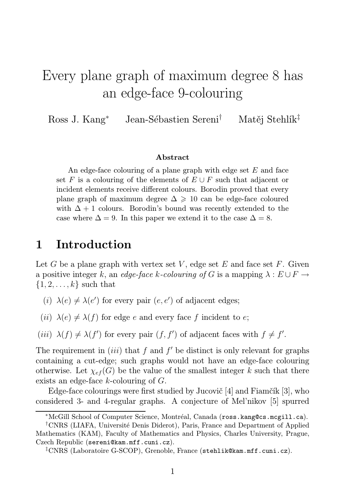# Every plane graph of maximum degree 8 has an edge-face 9-colouring

Ross J. Kang<sup>∗</sup> Jean-Sébastien Sereni† Matěj Stehlík‡

#### Abstract

An edge-face colouring of a plane graph with edge set  $E$  and face set F is a colouring of the elements of  $E \cup F$  such that adjacent or incident elements receive different colours. Borodin proved that every plane graph of maximum degree  $\Delta \geq 10$  can be edge-face coloured with  $\Delta + 1$  colours. Borodin's bound was recently extended to the case where  $\Delta = 9$ . In this paper we extend it to the case  $\Delta = 8$ .

# 1 Introduction

Let G be a plane graph with vertex set V, edge set E and face set F. Given a positive integer k, an edge-face k-colouring of G is a mapping  $\lambda : E \cup F \rightarrow$  $\{1, 2, \ldots, k\}$  such that

- (i)  $\lambda(e) \neq \lambda(e')$  for every pair  $(e, e')$  of adjacent edges;
- (ii)  $\lambda(e) \neq \lambda(f)$  for edge e and every face f incident to e;
- (*iii*)  $\lambda(f) \neq \lambda(f')$  for every pair  $(f, f')$  of adjacent faces with  $f \neq f'$ .

The requirement in  $(iii)$  that f and f' be distinct is only relevant for graphs containing a cut-edge; such graphs would not have an edge-face colouring otherwise. Let  $\chi_{ef}(G)$  be the value of the smallest integer k such that there exists an edge-face k-colouring of G.

Edge-face colourings were first studied by Jucovič [4] and Fiamčík [3], who considered 3- and 4-regular graphs. A conjecture of Mel'nikov [5] spurred

<sup>∗</sup>McGill School of Computer Science, Montréal, Canada (ross.kang@cs.mcgill.ca).

<sup>†</sup>CNRS (LIAFA, Université Denis Diderot), Paris, France and Department of Applied Mathematics (KAM), Faculty of Mathematics and Physics, Charles University, Prague, Czech Republic (sereni@kam.mff.cuni.cz).

<sup>‡</sup>CNRS (Laboratoire G-SCOP), Grenoble, France (stehlik@kam.mff.cuni.cz).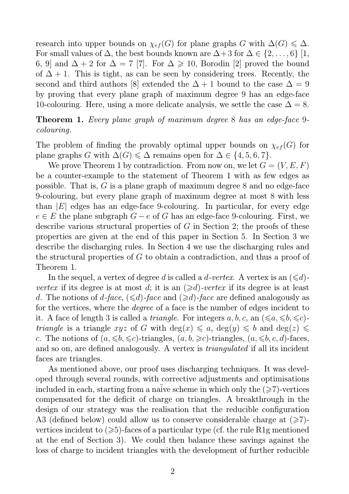research into upper bounds on  $\chi_{ef}(G)$  for plane graphs G with  $\Delta(G) \leq \Delta$ . For small values of  $\Delta$ , the best bounds known are  $\Delta + 3$  for  $\Delta \in \{2, \ldots, 6\}$  [1, 6, 9] and  $\Delta + 2$  for  $\Delta = 7$  [7]. For  $\Delta \ge 10$ , Borodin [2] proved the bound of  $\Delta + 1$ . This is tight, as can be seen by considering trees. Recently, the second and third authors [8] extended the  $\Delta + 1$  bound to the case  $\Delta = 9$ by proving that every plane graph of maximum degree 9 has an edge-face 10-colouring. Here, using a more delicate analysis, we settle the case  $\Delta = 8$ .

Theorem 1. Every plane graph of maximum degree 8 has an edge-face 9 colouring.

The problem of finding the provably optimal upper bounds on  $\chi_{ef}(G)$  for plane graphs G with  $\Delta(G) \leq \Delta$  remains open for  $\Delta \in \{4, 5, 6, 7\}.$ 

We prove Theorem 1 by contradiction. From now on, we let  $G = (V, E, F)$ be a counter-example to the statement of Theorem 1 with as few edges as possible. That is, G is a plane graph of maximum degree 8 and no edge-face 9-colouring, but every plane graph of maximum degree at most 8 with less than  $|E|$  edges has an edge-face 9-colouring. In particular, for every edge  $e \in E$  the plane subgraph  $G - e$  of G has an edge-face 9-colouring. First, we describe various structural properties of G in Section 2; the proofs of these properties are given at the end of this paper in Section 5. In Section 3 we describe the discharging rules. In Section 4 we use the discharging rules and the structural properties of G to obtain a contradiction, and thus a proof of Theorem 1.

In the sequel, a vertex of degree d is called a d-vertex. A vertex is an  $(\leq d)$ vertex if its degree is at most d; it is an  $(\geq d)$ -vertex if its degree is at least d. The notions of d-face,  $(\leq d)$ -face and  $(\geq d)$ -face are defined analogously as for the vertices, where the degree of a face is the number of edges incident to it. A face of length 3 is called a *triangle*. For integers a, b, c, an  $(\leq a, \leq b, \leq c)$ *triangle* is a triangle xyz of G with  $deg(x) \leq a$ ,  $deg(y) \leq b$  and  $deg(z) \leq$ c. The notions of  $(a, \leq b, \leq c)$ -triangles,  $(a, b, \geq c)$ -triangles,  $(a, \leq b, c, d)$ -faces, and so on, are defined analogously. A vertex is *triangulated* if all its incident faces are triangles.

As mentioned above, our proof uses discharging techniques. It was developed through several rounds, with corrective adjustments and optimisations included in each, starting from a naïve scheme in which only the  $(\geq 7)$ -vertices compensated for the deficit of charge on triangles. A breakthrough in the design of our strategy was the realisation that the reducible configuration A3 (defined below) could allow us to conserve considerable charge at  $(\geq 7)$ vertices incident to  $(\geqslant 5)$ -faces of a particular type (cf. the rule R1g mentioned at the end of Section 3). We could then balance these savings against the loss of charge to incident triangles with the development of further reducible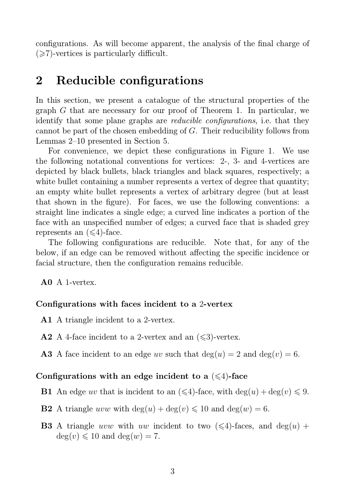configurations. As will become apparent, the analysis of the final charge of  $(\geq 7)$ -vertices is particularly difficult.

# 2 Reducible configurations

In this section, we present a catalogue of the structural properties of the graph G that are necessary for our proof of Theorem 1. In particular, we identify that some plane graphs are *reducible configurations*, i.e. that they cannot be part of the chosen embedding of G. Their reducibility follows from Lemmas 2–10 presented in Section 5.

For convenience, we depict these configurations in Figure 1. We use the following notational conventions for vertices: 2-, 3- and 4-vertices are depicted by black bullets, black triangles and black squares, respectively; a white bullet containing a number represents a vertex of degree that quantity; an empty white bullet represents a vertex of arbitrary degree (but at least that shown in the figure). For faces, we use the following conventions: a straight line indicates a single edge; a curved line indicates a portion of the face with an unspecified number of edges; a curved face that is shaded grey represents an  $(\leq 4)$ -face.

The following configurations are reducible. Note that, for any of the below, if an edge can be removed without affecting the specific incidence or facial structure, then the configuration remains reducible.

A0 A 1-vertex.

#### Configurations with faces incident to a 2-vertex

- A1 A triangle incident to a 2-vertex.
- **A2** A 4-face incident to a 2-vertex and an  $(\leq 3)$ -vertex.
- **A3** A face incident to an edge uv such that  $deg(u) = 2$  and  $deg(v) = 6$ .

#### Configurations with an edge incident to a  $(\leq 4)$ -face

**B1** An edge uv that is incident to an  $(\leq 4)$ -face, with  $\deg(u) + \deg(v) \leq 9$ .

- **B2** A triangle uvw with  $deg(u) + deg(v) \le 10$  and  $deg(w) = 6$ .
- **B3** A triangle uvw with uw incident to two  $(\leq 4)$ -faces, and deg(u) +  $deg(v) \leq 10$  and  $deg(w) = 7$ .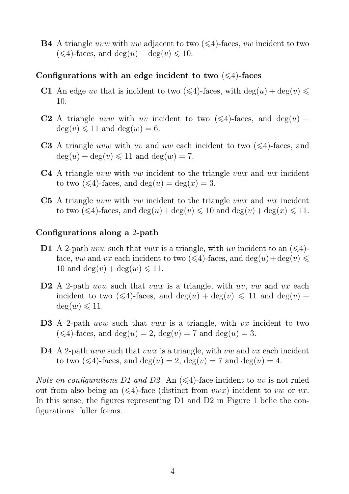**B4** A triangle uvw with uw adjacent to two  $(\leq 4)$ -faces, vw incident to two  $(\leq 4)$ -faces, and  $\deg(u) + \deg(v) \leq 10$ .

### Configurations with an edge incident to two  $(\leq 4)$ -faces

- C1 An edge uv that is incident to two  $(\leq 4)$ -faces, with  $deg(u) + deg(v) \leq$ 10.
- **C2** A triangle uvw with uv incident to two  $(\leq 4)$ -faces, and deg(u) +  $deg(v) \leq 11$  and  $deg(w) = 6$ .
- **C3** A triangle uvw with uv and uw each incident to two  $(\leq 4)$ -faces, and  $deg(u) + deg(v) \leq 11$  and  $deg(w) = 7$ .
- **C4** A triangle *uvw* with *vw* incident to the triangle *vwx* and *wx* incident to two  $(\leq 4)$ -faces, and  $deg(u) = deg(x) = 3$ .
- C5 A triangle *uvw* with vw incident to the triangle vwx and wx incident to two  $(\leq 4)$ -faces, and  $\deg(u) + \deg(v) \leq 10$  and  $\deg(v) + \deg(x) \leq 11$ .

### Configurations along a 2-path

- **D1** A 2-path uvw such that vwx is a triangle, with uv incident to an  $(\leq 4)$ face, vw and vx each incident to two  $(\leq 4)$ -faces, and  $deg(u) + deg(v) \leq$ 10 and deg(v) + deg(w)  $\leq 11$ .
- **D2** A 2-path uvw such that vwx is a triangle, with uv, vw and vx each incident to two  $(\leq 4)$ -faces, and  $deg(u) + deg(v) \leq 11$  and  $deg(v) +$  $deg(w) \leq 11$ .
- **D3** A 2-path uvw such that vwx is a triangle, with vx incident to two  $(\leq 4)$ -faces, and deg $(u) = 2$ , deg $(v) = 7$  and deg $(u) = 3$ .
- **D4** A 2-path *uvw* such that *vwx* is a triangle, with *vw* and *vx* each incident to two  $(\leq 4)$ -faces, and  $deg(u) = 2$ ,  $deg(v) = 7$  and  $deg(u) = 4$ .

*Note on configurations D1 and D2.* An  $(\leq 4)$ -face incident to uv is not ruled out from also being an  $(\leq 4)$ -face (distinct from vwx) incident to vw or vx. In this sense, the figures representing D1 and D2 in Figure 1 belie the configurations' fuller forms.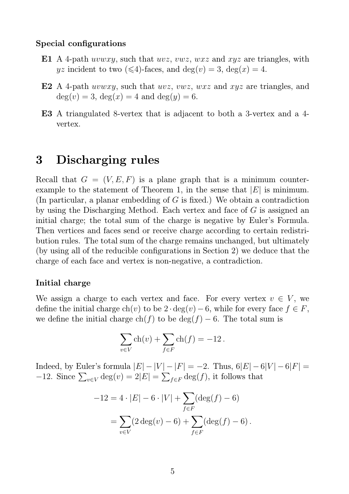#### Special configurations

- E1 A 4-path *uvwxy*, such that *uvz*, *vwz*, *wxz* and *xyz* are triangles, with  $yz$  incident to two  $(\leq 4)$ -faces, and  $deg(v) = 3$ ,  $deg(x) = 4$ .
- E2 A 4-path *uvwxy*, such that *uvz*, *vwz*, *wxz* and *xyz* are triangles, and  $deg(v) = 3, deg(x) = 4 and deg(y) = 6.$
- E3 A triangulated 8-vertex that is adjacent to both a 3-vertex and a 4 vertex.

# 3 Discharging rules

Recall that  $G = (V, E, F)$  is a plane graph that is a minimum counterexample to the statement of Theorem 1, in the sense that  $|E|$  is minimum. (In particular, a planar embedding of G is fixed.) We obtain a contradiction by using the Discharging Method. Each vertex and face of G is assigned an initial charge; the total sum of the charge is negative by Euler's Formula. Then vertices and faces send or receive charge according to certain redistribution rules. The total sum of the charge remains unchanged, but ultimately (by using all of the reducible configurations in Section 2) we deduce that the charge of each face and vertex is non-negative, a contradiction.

### Initial charge

We assign a charge to each vertex and face. For every vertex  $v \in V$ , we define the initial charge ch(v) to be  $2 \cdot deg(v) - 6$ , while for every face  $f \in F$ , we define the initial charge  $ch(f)$  to be  $deg(f) - 6$ . The total sum is

$$
\sum_{v \in V} \operatorname{ch}(v) + \sum_{f \in F} \operatorname{ch}(f) = -12.
$$

Indeed, by Euler's formula  $|E| - |V| - |F| = -2$ . Thus,  $6|E| - 6|V| - 6|F| =$  $-12$ . Since  $\sum_{v \in V} \deg(v) = 2|E| = \sum_{f \in F} \deg(f)$ , it follows that

$$
-12 = 4 \cdot |E| - 6 \cdot |V| + \sum_{f \in F} (\deg(f) - 6)
$$

$$
= \sum_{v \in V} (2 \deg(v) - 6) + \sum_{f \in F} (\deg(f) - 6).
$$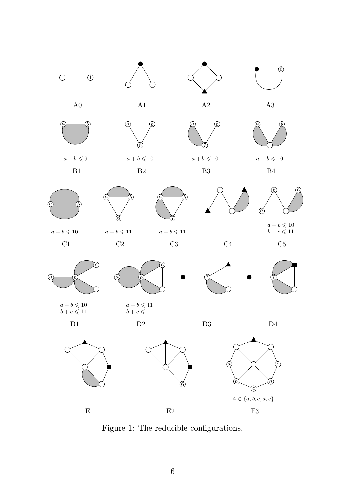



 $\widehat{6}$ 

 $a+b \leqslant 10$ 

7

B3



 $\overline{\begin{matrix}a\end{matrix}}\hspace{-0.6cm}\longrightarrow\hspace{-0.6cm}\overline{\begin{matrix}b\end{matrix}}$  $a+b \leqslant 10$ 

 $C1$ 

 $a+b\leqslant 9$ 

B1



 $\tilde{c}$ 

 $\widehat{6}$ 

 $\widehat{6}$ 

 $a+b \leqslant 10$ 

B2



 $b+c\leqslant 11$ C5



 $b+c\leqslant 11$ 

 $\widehat{a}$  be a bounded by  $a + b \leqslant 11$ 

 $b+c\leqslant 11$ 







Figure 1: The reducible configurations.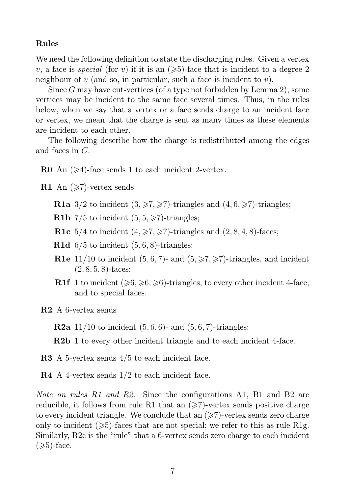### Rules

We need the following definition to state the discharging rules. Given a vertex v, a face is *special* (for v) if it is an  $(\geq 5)$ -face that is incident to a degree 2 neighbour of  $v$  (and so, in particular, such a face is incident to  $v$ ).

Since G may have cut-vertices (of a type not forbidden by Lemma 2), some vertices may be incident to the same face several times. Thus, in the rules below, when we say that a vertex or a face sends charge to an incident face or vertex, we mean that the charge is sent as many times as these elements are incident to each other.

The following describe how the charge is redistributed among the edges and faces in G.

**R0** An  $(\geq 4)$ -face sends 1 to each incident 2-vertex.

**R1** An  $(\geq 7)$ -vertex sends

**R1a** 3/2 to incident  $(3, \geq 7, \geq 7)$ -triangles and  $(4, 6, \geq 7)$ -triangles;

**R1b** 7/5 to incident  $(5, 5, \geq 7)$ -triangles;

**R1c** 5/4 to incident  $(4, \geq 7, \geq 7)$ -triangles and  $(2, 8, 4, 8)$ -faces;

**R1d**  $6/5$  to incident  $(5, 6, 8)$ -triangles;

- **R1e** 11/10 to incident  $(5, 6, 7)$  and  $(5, \geq 7)$ -triangles, and incident  $(2, 8, 5, 8)$ -faces;
- **R1f** 1 to incident  $(\geqslant 6, \geqslant 6, \geqslant 6)$ -triangles, to every other incident 4-face, and to special faces.

R2 A 6-vertex sends

**R2a** 11/10 to incident  $(5, 6, 6)$ - and  $(5, 6, 7)$ -triangles;

R2b 1 to every other incident triangle and to each incident 4-face.

R3 A 5-vertex sends  $4/5$  to each incident face.

R4 A 4-vertex sends 1/2 to each incident face.

Note on rules R1 and R2. Since the configurations A1, B1 and B2 are reducible, it follows from rule R1 that an  $(\geq 7)$ -vertex sends positive charge to every incident triangle. We conclude that an  $(\geq 7)$ -vertex sends zero charge only to incident  $(\geq 5)$ -faces that are not special; we refer to this as rule R1g. Similarly, R2c is the "rule" that a 6-vertex sends zero charge to each incident  $(\geqslant 5)$ -face.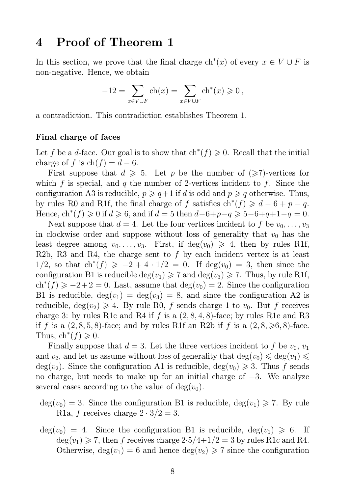## 4 Proof of Theorem 1

In this section, we prove that the final charge  $\mathrm{ch}^*(x)$  of every  $x \in V \cup F$  is non-negative. Hence, we obtain

$$
-12 = \sum_{x \in V \cup F} ch(x) = \sum_{x \in V \cup F} ch^*(x) \geq 0,
$$

a contradiction. This contradiction establishes Theorem 1.

#### Final charge of faces

Let f be a d-face. Our goal is to show that  $\text{ch}^*(f) \geq 0$ . Recall that the initial charge of f is  $ch(f) = d - 6$ .

First suppose that  $d \geq 5$ . Let p be the number of  $(\geq 7)$ -vertices for which f is special, and q the number of 2-vertices incident to f. Since the configuration A3 is reducible,  $p \geqslant q+1$  if d is odd and  $p \geqslant q$  otherwise. Thus, by rules R0 and R1f, the final charge of f satisfies  $\text{ch}^*(f) \geq d - 6 + p - q$ . Hence,  $\text{ch}^*(f) \geq 0$  if  $d \geq 6$ , and if  $d = 5$  then  $d-6+p-q \geq 5-6+q+1-q = 0$ .

Next suppose that  $d = 4$ . Let the four vertices incident to f be  $v_0, \ldots, v_3$ in clockwise order and suppose without loss of generality that  $v_0$  has the least degree among  $v_0, \ldots, v_3$ . First, if  $deg(v_0) \geq 4$ , then by rules R1f, R2b, R3 and R4, the charge sent to f by each incident vertex is at least  $1/2$ , so that  $\text{ch}^*(f) \geq -2 + 4 \cdot 1/2 = 0$ . If  $\deg(v_0) = 3$ , then since the configuration B1 is reducible  $\deg(v_1) \geq 7$  and  $\deg(v_3) \geq 7$ . Thus, by rule R1f,  $ch<sup>*</sup>(f) \ge -2+2=0$ . Last, assume that  $deg(v_0) = 2$ . Since the configuration B1 is reducible,  $deg(v_1) = deg(v_3) = 8$ , and since the configuration A2 is reducible,  $deg(v_2) \geq 4$ . By rule R0, f sends charge 1 to  $v_0$ . But f receives charge 3: by rules R1c and R4 if f is a  $(2, 8, 4, 8)$ -face; by rules R1e and R3 if f is a  $(2, 8, 5, 8)$ -face; and by rules R1f an R2b if f is a  $(2, 8, \geq 6, 8)$ -face. Thus,  $\mathrm{ch}^*(f) \geqslant 0$ .

Finally suppose that  $d = 3$ . Let the three vertices incident to f be  $v_0$ ,  $v_1$ and  $v_2$ , and let us assume without loss of generality that  $\deg(v_0) \leq \deg(v_1) \leq$  $deg(v_2)$ . Since the configuration A1 is reducible,  $deg(v_0) \geq 3$ . Thus f sends no charge, but needs to make up for an initial charge of −3. We analyze several cases according to the value of  $deg(v_0)$ .

- $deg(v_0) = 3$ . Since the configuration B1 is reducible,  $deg(v_1) \geq 7$ . By rule R1a, f receives charge  $2 \cdot 3/2 = 3$ .
- $deg(v_0) = 4$ . Since the configuration B1 is reducible,  $deg(v_1) \geq 6$ . If  $deg(v_1) \geq 7$ , then f receives charge  $2.5/4+1/2 = 3$  by rules R1c and R4. Otherwise,  $deg(v_1) = 6$  and hence  $deg(v_2) \geq 7$  since the configuration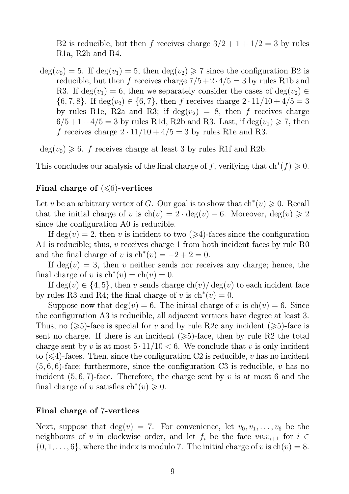B2 is reducible, but then f receives charge  $3/2 + 1 + 1/2 = 3$  by rules R1a, R2b and R4.

 $deg(v_0) = 5$ . If  $deg(v_1) = 5$ , then  $deg(v_2) \ge 7$  since the configuration B2 is reducible, but then f receives charge  $7/5 + 2 \cdot 4/5 = 3$  by rules R1b and R3. If  $deg(v_1) = 6$ , then we separately consider the cases of  $deg(v_2) \in$  $\{6, 7, 8\}$ . If  $\deg(v_2) \in \{6, 7\}$ , then f receives charge  $2 \cdot 11/10 + 4/5 = 3$ by rules R1e, R2a and R3; if  $deg(v_2) = 8$ , then f receives charge  $6/5+1+4/5=3$  by rules R1d, R2b and R3. Last, if  $deg(v_1) \geq 7$ , then f receives charge  $2 \cdot 11/10 + 4/5 = 3$  by rules R1e and R3.

 $deg(v_0) \geq 6$ . f receives charge at least 3 by rules R1f and R2b.

This concludes our analysis of the final charge of f, verifying that  $\text{ch}^*(f) \geq 0$ .

### Final charge of  $(\leq 6)$ -vertices

Let v be an arbitrary vertex of G. Our goal is to show that  $\text{ch}^*(v) \geq 0$ . Recall that the initial charge of v is  $\text{ch}(v) = 2 \cdot \text{deg}(v) - 6$ . Moreover,  $\text{deg}(v) \geq 2$ since the configuration A0 is reducible.

If  $deg(v) = 2$ , then v is incident to two  $(\geq 4)$ -faces since the configuration A1 is reducible; thus,  $v$  receives charge 1 from both incident faces by rule R0 and the final charge of v is  $\text{ch}^*(v) = -2 + 2 = 0$ .

If  $deg(v) = 3$ , then v neither sends nor receives any charge; hence, the final charge of v is  $\mathrm{ch}^*(v) = \mathrm{ch}(v) = 0$ .

If  $deg(v) \in \{4, 5\}$ , then v sends charge  $ch(v)/deg(v)$  to each incident face by rules R3 and R4; the final charge of v is  $\text{ch}^*(v) = 0$ .

Suppose now that  $deg(v) = 6$ . The initial charge of v is  $ch(v) = 6$ . Since the configuration A3 is reducible, all adjacent vertices have degree at least 3. Thus, no  $(\geq 5)$ -face is special for v and by rule R2c any incident  $(\geq 5)$ -face is sent no charge. If there is an incident  $(\geq 5)$ -face, then by rule R2 the total charge sent by v is at most  $5 \cdot 11/10 < 6$ . We conclude that v is only incident to  $(\leq 4)$ -faces. Then, since the configuration C2 is reducible, v has no incident  $(5, 6, 6)$ -face; furthermore, since the configuration C3 is reducible, v has no incident  $(5, 6, 7)$ -face. Therefore, the charge sent by v is at most 6 and the final charge of v satisfies  $\text{ch}^*(v) \geq 0$ .

#### Final charge of 7-vertices

Next, suppose that  $deg(v) = 7$ . For convenience, let  $v_0, v_1, \ldots, v_6$  be the neighbours of v in clockwise order, and let  $f_i$  be the face  $vv_i v_{i+1}$  for  $i \in$  $\{0, 1, \ldots, 6\}$ , where the index is modulo 7. The initial charge of v is  $\text{ch}(v) = 8$ .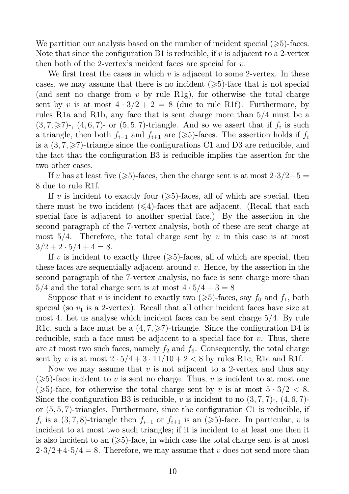We partition our analysis based on the number of incident special  $(\geq 5)$ -faces. Note that since the configuration B1 is reducible, if  $v$  is adjacent to a 2-vertex then both of the 2-vertex's incident faces are special for  $v$ .

We first treat the cases in which  $v$  is adjacent to some 2-vertex. In these cases, we may assume that there is no incident  $(\geq 5)$ -face that is not special (and sent no charge from  $v$  by rule R1g), for otherwise the total charge sent by v is at most  $4 \cdot 3/2 + 2 = 8$  (due to rule R1f). Furthermore, by rules R1a and R1b, any face that is sent charge more than 5/4 must be a  $(3, 7, \geq 7)$ -,  $(4, 6, 7)$ - or  $(5, 5, 7)$ -triangle. And so we assert that if  $f_i$  is such a triangle, then both  $f_{i-1}$  and  $f_{i+1}$  are ( $\geq 5$ )-faces. The assertion holds if  $f_i$ is a  $(3, 7, \geq 7)$ -triangle since the configurations C1 and D3 are reducible, and the fact that the configuration B3 is reducible implies the assertion for the two other cases.

If v has at least five  $(\geqslant 5)$ -faces, then the charge sent is at most  $2\cdot 3/2+5=$ 8 due to rule R1f.

If v is incident to exactly four  $(\geq 5)$ -faces, all of which are special, then there must be two incident  $(\leq 4)$ -faces that are adjacent. (Recall that each special face is adjacent to another special face.) By the assertion in the second paragraph of the 7-vertex analysis, both of these are sent charge at most  $5/4$ . Therefore, the total charge sent by v in this case is at most  $3/2 + 2 \cdot 5/4 + 4 = 8.$ 

If v is incident to exactly three  $(\geq 5)$ -faces, all of which are special, then these faces are sequentially adjacent around  $v$ . Hence, by the assertion in the second paragraph of the 7-vertex analysis, no face is sent charge more than  $5/4$  and the total charge sent is at most  $4 \cdot 5/4 + 3 = 8$ 

Suppose that v is incident to exactly two  $(\geq 5)$ -faces, say  $f_0$  and  $f_1$ , both special (so  $v_1$  is a 2-vertex). Recall that all other incident faces have size at most 4. Let us analyse which incident faces can be sent charge 5/4. By rule R1c, such a face must be a  $(4, 7, \geq 7)$ -triangle. Since the configuration D4 is reducible, such a face must be adjacent to a special face for  $v$ . Thus, there are at most two such faces, namely  $f_2$  and  $f_6$ . Consequently, the total charge sent by v is at most  $2 \cdot 5/4 + 3 \cdot 11/10 + 2 < 8$  by rules R1c, R1e and R1f.

Now we may assume that  $v$  is not adjacent to a 2-vertex and thus any  $(\geq 5)$ -face incident to v is sent no charge. Thus, v is incident to at most one  $(\geq 5)$ -face, for otherwise the total charge sent by v is at most  $5 \cdot 3/2 < 8$ . Since the configuration B3 is reducible, v is incident to no  $(3, 7, 7)$ -,  $(4, 6, 7)$ or (5, 5, 7)-triangles. Furthermore, since the configuration C1 is reducible, if  $f_i$  is a  $(3, 7, 8)$ -triangle then  $f_{i-1}$  or  $f_{i+1}$  is an  $(\geq 5)$ -face. In particular, v is incident to at most two such triangles; if it is incident to at least one then it is also incident to an  $(\geqslant 5)$ -face, in which case the total charge sent is at most  $2\cdot3/2+4\cdot5/4=8$ . Therefore, we may assume that v does not send more than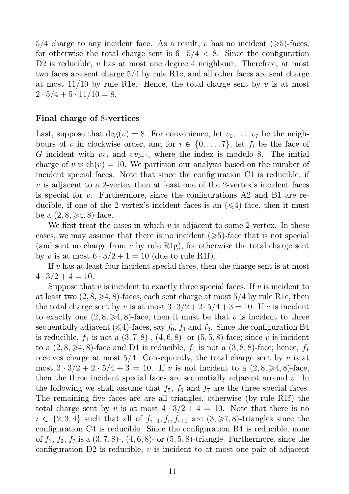$5/4$  charge to any incident face. As a result, v has no incident  $(\geq 5)$ -faces, for otherwise the total charge sent is  $6 \cdot 5/4 < 8$ . Since the configuration D2 is reducible,  $v$  has at most one degree 4 neighbour. Therefore, at most two faces are sent charge 5/4 by rule R1c, and all other faces are sent charge at most  $11/10$  by rule R1e. Hence, the total charge sent by v is at most  $2 \cdot 5/4 + 5 \cdot 11/10 = 8.$ 

### Final charge of 8-vertices

Last, suppose that  $deg(v) = 8$ . For convenience, let  $v_0, \ldots, v_7$  be the neighbours of v in clockwise order, and for  $i \in \{0, \ldots, 7\}$ , let  $f_i$  be the face of G incident with  $vv_i$  and  $vv_{i+1}$ , where the index is modulo 8. The initial charge of v is  $ch(v) = 10$ . We partition our analysis based on the number of incident special faces. Note that since the configuration C1 is reducible, if v is adjacent to a 2-vertex then at least one of the 2-vertex's incident faces is special for v. Furthermore, since the configurations A2 and B1 are reducible, if one of the 2-vertex's incident faces is an  $(\leq 4)$ -face, then it must be a  $(2, 8, \geq 4, 8)$ -face.

We first treat the cases in which  $v$  is adjacent to some 2-vertex. In these cases, we may assume that there is no incident  $(\geq 5)$ -face that is not special (and sent no charge from  $v$  by rule R1g), for otherwise the total charge sent by v is at most  $6 \cdot 3/2 + 1 = 10$  (due to rule R1f).

If v has at least four incident special faces, then the charge sent is at most  $4 \cdot 3/2 + 4 = 10$ .

Suppose that  $v$  is incident to exactly three special faces. If  $v$  is incident to at least two  $(2, 8, \geq 4, 8)$ -faces, each sent charge at most  $5/4$  by rule R1c, then the total charge sent by v is at most  $3 \cdot 3/2 + 2 \cdot 5/4 + 3 = 10$ . If v is incident to exactly one  $(2, 8, \geq 4, 8)$ -face, then it must be that v is incident to three sequentially adjacent ( $\leq 4$ )-faces, say  $f_0$ ,  $f_1$  and  $f_2$ . Since the configuration B4 is reducible,  $f_1$  is not a  $(3, 7, 8)$ -,  $(4, 6, 8)$ - or  $(5, 5, 8)$ -face; since v is incident to a  $(2, 8, \geq 4, 8)$ -face and D1 is reducible,  $f_1$  is not a  $(3, 8, 8)$ -face; hence,  $f_1$ receives charge at most  $5/4$ . Consequently, the total charge sent by v is at most  $3 \cdot 3/2 + 2 \cdot 5/4 + 3 = 10$ . If v is not incident to a  $(2, 8, \geq 4, 8)$ -face, then the three incident special faces are sequentially adjacent around  $v$ . In the following we shall assume that  $f_5$ ,  $f_6$  and  $f_7$  are the three special faces. The remaining five faces are are all triangles, otherwise (by rule R1f) the total charge sent by v is at most  $4 \cdot 3/2 + 4 = 10$ . Note that there is no  $i \in \{2,3,4\}$  such that all of  $f_{i-1}, f_i, f_{i+1}$  are  $(3,\geqslant 7,8)$ -triangles since the configuration C4 is reducible. Since the configuration B4 is reducible, none of  $f_1, f_2, f_3$  is a  $(3, 7, 8)$ -,  $(4, 6, 8)$ - or  $(5, 5, 8)$ -triangle. Furthermore, since the configuration  $D2$  is reducible, v is incident to at most one pair of adjacent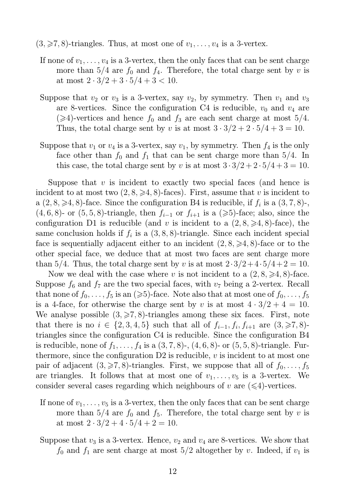$(3, \geq 7, 8)$ -triangles. Thus, at most one of  $v_1, \ldots, v_4$  is a 3-vertex.

- If none of  $v_1, \ldots, v_4$  is a 3-vertex, then the only faces that can be sent charge more than  $5/4$  are  $f_0$  and  $f_4$ . Therefore, the total charge sent by v is at most  $2 \cdot 3/2 + 3 \cdot 5/4 + 3 < 10$ .
- Suppose that  $v_2$  or  $v_3$  is a 3-vertex, say  $v_2$ , by symmetry. Then  $v_1$  and  $v_3$ are 8-vertices. Since the configuration C4 is reducible,  $v_0$  and  $v_4$  are  $(\geq 4)$ -vertices and hence  $f_0$  and  $f_3$  are each sent charge at most 5/4. Thus, the total charge sent by v is at most  $3 \cdot 3/2 + 2 \cdot 5/4 + 3 = 10$ .
- Suppose that  $v_1$  or  $v_4$  is a 3-vertex, say  $v_1$ , by symmetry. Then  $f_4$  is the only face other than  $f_0$  and  $f_1$  that can be sent charge more than 5/4. In this case, the total charge sent by v is at most  $3 \cdot 3/2 + 2 \cdot 5/4 + 3 = 10$ .

Suppose that  $v$  is incident to exactly two special faces (and hence is incident to at most two  $(2, 8, \geq 4, 8)$ -faces). First, assume that v is incident to a  $(2, 8, \geq 4, 8)$ -face. Since the configuration B4 is reducible, if  $f_i$  is a  $(3, 7, 8)$ -,  $(4, 6, 8)$ - or  $(5, 5, 8)$ -triangle, then  $f_{i-1}$  or  $f_{i+1}$  is a  $(\geq 5)$ -face; also, since the configuration D1 is reducible (and v is incident to a  $(2, 8, \geq 4, 8)$ -face), the same conclusion holds if  $f_i$  is a  $(3, 8, 8)$ -triangle. Since each incident special face is sequentially adjacent either to an incident  $(2, 8, \geq 4, 8)$ -face or to the other special face, we deduce that at most two faces are sent charge more than 5/4. Thus, the total charge sent by v is at most  $2 \cdot 3/2 + 4 \cdot 5/4 + 2 = 10$ .

Now we deal with the case where v is not incident to a  $(2, 8, \geq 4, 8)$ -face. Suppose  $f_6$  and  $f_7$  are the two special faces, with  $v_7$  being a 2-vertex. Recall that none of  $f_0, \ldots, f_5$  is an  $(\geq 5)$ -face. Note also that at most one of  $f_0, \ldots, f_5$ is a 4-face, for otherwise the charge sent by v is at most  $4 \cdot 3/2 + 4 = 10$ . We analyse possible  $(3, \geq 7, 8)$ -triangles among these six faces. First, note that there is no  $i \in \{2, 3, 4, 5\}$  such that all of  $f_{i-1}, f_i, f_{i+1}$  are  $(3, \geq 7, 8)$ triangles since the configuration C4 is reducible. Since the configuration B4 is reducible, none of  $f_1, \ldots, f_4$  is a  $(3, 7, 8)$ -,  $(4, 6, 8)$ - or  $(5, 5, 8)$ -triangle. Furthermore, since the configuration  $D2$  is reducible, v is incident to at most one pair of adjacent  $(3, \geq 7, 8)$ -triangles. First, we suppose that all of  $f_0, \ldots, f_5$ are triangles. It follows that at most one of  $v_1, \ldots, v_5$  is a 3-vertex. We consider several cases regarding which neighbours of v are  $(\leq 4)$ -vertices.

- If none of  $v_1, \ldots, v_5$  is a 3-vertex, then the only faces that can be sent charge more than  $5/4$  are  $f_0$  and  $f_5$ . Therefore, the total charge sent by v is at most  $2 \cdot 3/2 + 4 \cdot 5/4 + 2 = 10$ .
- Suppose that  $v_3$  is a 3-vertex. Hence,  $v_2$  and  $v_4$  are 8-vertices. We show that  $f_0$  and  $f_1$  are sent charge at most  $5/2$  altogether by v. Indeed, if  $v_1$  is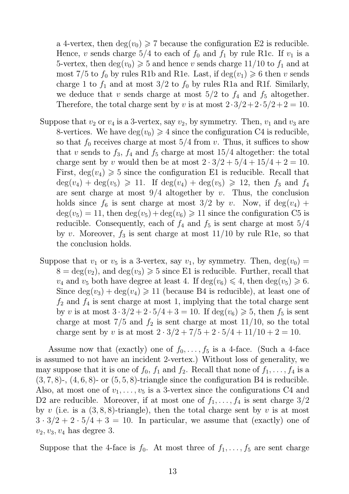a 4-vertex, then  $deg(v_0) \geq 7$  because the configuration E2 is reducible. Hence, v sends charge  $5/4$  to each of  $f_0$  and  $f_1$  by rule R1c. If  $v_1$  is a 5-vertex, then  $deg(v_0) \geq 5$  and hence v sends charge 11/10 to  $f_1$  and at most 7/5 to  $f_0$  by rules R1b and R1e. Last, if  $deg(v_1) \geq 6$  then v sends charge 1 to  $f_1$  and at most 3/2 to  $f_0$  by rules R1a and R1f. Similarly, we deduce that v sends charge at most  $5/2$  to  $f_4$  and  $f_5$  altogether. Therefore, the total charge sent by v is at most  $2 \cdot 3/2 + 2 \cdot 5/2 + 2 = 10$ .

- Suppose that  $v_2$  or  $v_4$  is a 3-vertex, say  $v_2$ , by symmetry. Then,  $v_1$  and  $v_3$  are 8-vertices. We have  $deg(v_0) \geq 4$  since the configuration C4 is reducible, so that  $f_0$  receives charge at most  $5/4$  from v. Thus, it suffices to show that v sends to  $f_3$ ,  $f_4$  and  $f_5$  charge at most 15/4 altogether: the total charge sent by v would then be at most  $2 \cdot 3/2 + 5/4 + 15/4 + 2 = 10$ . First,  $deg(v_4) \geq 5$  since the configuration E1 is reducible. Recall that  $deg(v_4) + deg(v_5) \geq 11$ . If  $deg(v_4) + deg(v_5) \geq 12$ , then  $f_3$  and  $f_4$ are sent charge at most  $9/4$  altogether by v. Thus, the conclusion holds since  $f_6$  is sent charge at most  $3/2$  by v. Now, if  $deg(v_4)$  +  $deg(v_5) = 11$ , then  $deg(v_5) + deg(v_6) \ge 11$  since the configuration C5 is reducible. Consequently, each of  $f_4$  and  $f_5$  is sent charge at most  $5/4$ by v. Moreover,  $f_3$  is sent charge at most 11/10 by rule R1e, so that the conclusion holds.
- Suppose that  $v_1$  or  $v_5$  is a 3-vertex, say  $v_1$ , by symmetry. Then,  $deg(v_0)$  =  $8 = \deg(v_2)$ , and  $\deg(v_3) \ge 5$  since E1 is reducible. Further, recall that  $v_4$  and  $v_5$  both have degree at least 4. If  $deg(v_6) \leq 4$ , then  $deg(v_5) \geq 6$ . Since  $deg(v_3) + deg(v_4) \ge 11$  (because B4 is reducible), at least one of  $f_2$  and  $f_4$  is sent charge at most 1, implying that the total charge sent by v is at most  $3 \cdot 3/2 + 2 \cdot 5/4 + 3 = 10$ . If  $deg(v_6) \ge 5$ , then  $f_5$  is sent charge at most  $7/5$  and  $f_2$  is sent charge at most  $11/10$ , so the total charge sent by v is at most  $2 \cdot 3/2 + 7/5 + 2 \cdot 5/4 + 11/10 + 2 = 10$ .

Assume now that (exactly) one of  $f_0, \ldots, f_5$  is a 4-face. (Such a 4-face is assumed to not have an incident 2-vertex.) Without loss of generality, we may suppose that it is one of  $f_0$ ,  $f_1$  and  $f_2$ . Recall that none of  $f_1, \ldots, f_4$  is a  $(3, 7, 8)$ -,  $(4, 6, 8)$ - or  $(5, 5, 8)$ -triangle since the configuration B4 is reducible. Also, at most one of  $v_1, \ldots, v_5$  is a 3-vertex since the configurations C4 and D2 are reducible. Moreover, if at most one of  $f_1, \ldots, f_4$  is sent charge  $3/2$ by v (i.e. is a  $(3, 8, 8)$ -triangle), then the total charge sent by v is at most  $3 \cdot 3/2 + 2 \cdot 5/4 + 3 = 10$ . In particular, we assume that (exactly) one of  $v_2, v_3, v_4$  has degree 3.

Suppose that the 4-face is  $f_0$ . At most three of  $f_1, \ldots, f_5$  are sent charge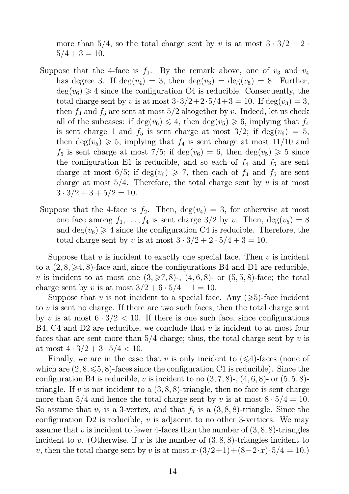more than  $5/4$ , so the total charge sent by v is at most  $3 \cdot 3/2 + 2 \cdot$  $5/4 + 3 = 10.$ 

- Suppose that the 4-face is  $f_1$ . By the remark above, one of  $v_3$  and  $v_4$ has degree 3. If  $deg(v_4) = 3$ , then  $deg(v_3) = deg(v_5) = 8$ . Further,  $deg(v_6) \geq 4$  since the configuration C4 is reducible. Consequently, the total charge sent by v is at most  $3 \cdot 3/2 + 2 \cdot 5/4 + 3 = 10$ . If  $deg(v_3) = 3$ , then  $f_4$  and  $f_5$  are sent at most  $5/2$  altogether by v. Indeed, let us check all of the subcases: if  $\deg(v_6) \leq 4$ , then  $\deg(v_5) \geq 6$ , implying that  $f_4$ is sent charge 1 and  $f_5$  is sent charge at most  $3/2$ ; if deg( $v_6$ ) = 5, then  $deg(v_5) \geq 5$ , implying that  $f_4$  is sent charge at most 11/10 and  $f_5$  is sent charge at most  $7/5$ ; if  $deg(v_6) = 6$ , then  $deg(v_5) \geq 5$  since the configuration E1 is reducible, and so each of  $f_4$  and  $f_5$  are sent charge at most  $6/5$ ; if deg( $v_6$ )  $\geq 7$ , then each of  $f_4$  and  $f_5$  are sent charge at most  $5/4$ . Therefore, the total charge sent by v is at most  $3 \cdot 3/2 + 3 + 5/2 = 10$ .
- Suppose that the 4-face is  $f_2$ . Then,  $deg(v_4) = 3$ , for otherwise at most one face among  $f_1, \ldots, f_4$  is sent charge  $3/2$  by v. Then,  $deg(v_5) = 8$ and  $deg(v_6) \geq 4$  since the configuration C4 is reducible. Therefore, the total charge sent by v is at most  $3 \cdot 3/2 + 2 \cdot 5/4 + 3 = 10$ .

Suppose that  $v$  is incident to exactly one special face. Then  $v$  is incident to a  $(2, 8, \geq 4, 8)$ -face and, since the configurations B4 and D1 are reducible, v is incident to at most one  $(3,\geqslant7,8)$ -,  $(4,6,8)$ - or  $(5,5,8)$ -face; the total charge sent by v is at most  $3/2 + 6 \cdot 5/4 + 1 = 10$ .

Suppose that v is not incident to a special face. Any  $(\geq 5)$ -face incident to v is sent no charge. If there are two such faces, then the total charge sent by v is at most  $6 \cdot 3/2 < 10$ . If there is one such face, since configurations B4, C4 and D2 are reducible, we conclude that  $v$  is incident to at most four faces that are sent more than  $5/4$  charge; thus, the total charge sent by v is at most  $4 \cdot 3/2 + 3 \cdot 5/4 < 10$ .

Finally, we are in the case that v is only incident to  $(\leq 4)$ -faces (none of which are  $(2, 8, \leq 5, 8)$ -faces since the configuration C1 is reducible). Since the configuration B4 is reducible, v is incident to no  $(3, 7, 8)$ -,  $(4, 6, 8)$ - or  $(5, 5, 8)$ triangle. If v is not incident to a  $(3, 8, 8)$ -triangle, then no face is sent charge more than  $5/4$  and hence the total charge sent by v is at most  $8 \cdot 5/4 = 10$ . So assume that  $v_7$  is a 3-vertex, and that  $f_7$  is a  $(3, 8, 8)$ -triangle. Since the configuration D2 is reducible, v is adjacent to no other 3-vertices. We may assume that v is incident to fewer 4-faces than the number of  $(3, 8, 8)$ -triangles incident to v. (Otherwise, if x is the number of  $(3, 8, 8)$ -triangles incident to v, then the total charge sent by v is at most  $x \cdot (3/2+1)+(8-2\cdot x) \cdot 5/4 = 10.$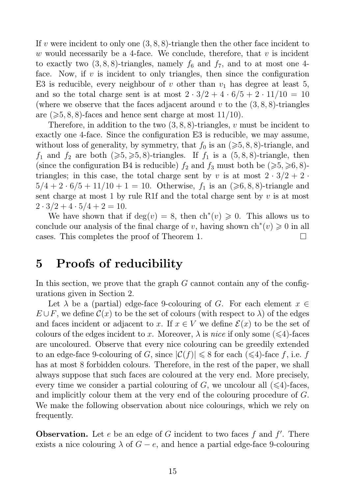If v were incident to only one  $(3, 8, 8)$ -triangle then the other face incident to w would necessarily be a 4-face. We conclude, therefore, that  $v$  is incident to exactly two  $(3, 8, 8)$ -triangles, namely  $f_6$  and  $f_7$ , and to at most one 4face. Now, if  $v$  is incident to only triangles, then since the configuration E3 is reducible, every neighbour of v other than  $v_1$  has degree at least 5, and so the total charge sent is at most  $2 \cdot 3/2 + 4 \cdot 6/5 + 2 \cdot 11/10 = 10$ (where we observe that the faces adjacent around  $v$  to the  $(3, 8, 8)$ -triangles are  $(\geqslant 5, 8, 8)$ -faces and hence sent charge at most 11/10).

Therefore, in addition to the two  $(3, 8, 8)$ -triangles, v must be incident to exactly one 4-face. Since the configuration E3 is reducible, we may assume, without loss of generality, by symmetry, that  $f_0$  is an  $(\geq 5, 8, 8)$ -triangle, and  $f_1$  and  $f_2$  are both  $(\geqslant 5, \geqslant 5, 8)$ -triangles. If  $f_1$  is a  $(5, 8, 8)$ -triangle, then (since the configuration B4 is reducible)  $f_2$  and  $f_3$  must both be ( $\geq 5, \geq 6, 8$ )triangles; in this case, the total charge sent by v is at most  $2 \cdot 3/2 + 2 \cdot$  $5/4 + 2 \cdot 6/5 + 11/10 + 1 = 10$ . Otherwise,  $f_1$  is an  $(\geq 6, 8, 8)$ -triangle and sent charge at most 1 by rule R1f and the total charge sent by  $v$  is at most  $2 \cdot 3/2 + 4 \cdot 5/4 + 2 = 10.$ 

We have shown that if  $deg(v) = 8$ , then  $ch^*(v) \geq 0$ . This allows us to conclude our analysis of the final charge of v, having shown  $\text{ch}^*(v) \geq 0$  in all cases. This completes the proof of Theorem 1.  $\Box$ 

# 5 Proofs of reducibility

In this section, we prove that the graph  $G$  cannot contain any of the configurations given in Section 2.

Let  $\lambda$  be a (partial) edge-face 9-colouring of G. For each element  $x \in$  $E \cup F$ , we define  $\mathcal{C}(x)$  to be the set of colours (with respect to  $\lambda$ ) of the edges and faces incident or adjacent to x. If  $x \in V$  we define  $\mathcal{E}(x)$  to be the set of colours of the edges incident to x. Moreover,  $\lambda$  is nice if only some ( $\leq 4$ )-faces are uncoloured. Observe that every nice colouring can be greedily extended to an edge-face 9-colouring of G, since  $|\mathcal{C}(f)| \leq 8$  for each  $(\leq 4)$ -face f, i.e. f has at most 8 forbidden colours. Therefore, in the rest of the paper, we shall always suppose that such faces are coloured at the very end. More precisely, every time we consider a partial colouring of G, we uncolour all  $(\leq 4)$ -faces, and implicitly colour them at the very end of the colouring procedure of G. We make the following observation about nice colourings, which we rely on frequently.

**Observation.** Let  $e$  be an edge of  $G$  incident to two faces  $f$  and  $f'$ . There exists a nice colouring  $\lambda$  of  $G - e$ , and hence a partial edge-face 9-colouring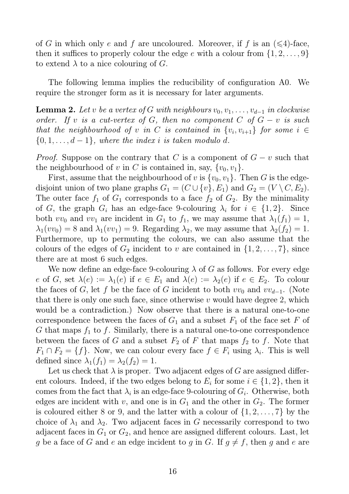of G in which only e and f are uncoloured. Moreover, if f is an  $(\leq 4)$ -face, then it suffices to properly colour the edge e with a colour from  $\{1, 2, \ldots, 9\}$ to extend  $\lambda$  to a nice colouring of G.

The following lemma implies the reducibility of configuration A0. We require the stronger form as it is necessary for later arguments.

**Lemma 2.** Let v be a vertex of G with neighbours  $v_0, v_1, \ldots, v_{d-1}$  in clockwise order. If v is a cut-vertex of G, then no component C of  $G - v$  is such that the neighbourhood of v in C is contained in  $\{v_i, v_{i+1}\}$  for some  $i \in$  $\{0, 1, \ldots, d-1\}$ , where the index i is taken modulo d.

*Proof.* Suppose on the contrary that C is a component of  $G - v$  such that the neighbourhood of v in C is contained in, say,  $\{v_0, v_1\}$ .

First, assume that the neighbourhood of v is  $\{v_0, v_1\}$ . Then G is the edgedisjoint union of two plane graphs  $G_1 = (C \cup \{v\}, E_1)$  and  $G_2 = (V \setminus C, E_2)$ . The outer face  $f_1$  of  $G_1$  corresponds to a face  $f_2$  of  $G_2$ . By the minimality of G, the graph  $G_i$  has an edge-face 9-colouring  $\lambda_i$  for  $i \in \{1,2\}$ . Since both  $vv_0$  and  $vv_1$  are incident in  $G_1$  to  $f_1$ , we may assume that  $\lambda_1(f_1) = 1$ ,  $\lambda_1(vv_0) = 8$  and  $\lambda_1(vv_1) = 9$ . Regarding  $\lambda_2$ , we may assume that  $\lambda_2(f_2) = 1$ . Furthermore, up to permuting the colours, we can also assume that the colours of the edges of  $G_2$  incident to v are contained in  $\{1, 2, \ldots, 7\}$ , since there are at most 6 such edges.

We now define an edge-face 9-colouring  $\lambda$  of G as follows. For every edge e of G, set  $\lambda(e) := \lambda_1(e)$  if  $e \in E_1$  and  $\lambda(e) := \lambda_2(e)$  if  $e \in E_2$ . To colour the faces of G, let f be the face of G incident to both  $vv_0$  and  $vv_{d-1}$ . (Note that there is only one such face, since otherwise  $v$  would have degree 2, which would be a contradiction.) Now observe that there is a natural one-to-one correspondence between the faces of  $G_1$  and a subset  $F_1$  of the face set F of G that maps  $f_1$  to f. Similarly, there is a natural one-to-one correspondence between the faces of G and a subset  $F_2$  of F that maps  $f_2$  to f. Note that  $F_1 \cap F_2 = \{f\}$ . Now, we can colour every face  $f \in F_i$  using  $\lambda_i$ . This is well defined since  $\lambda_1(f_1) = \lambda_2(f_2) = 1$ .

Let us check that  $\lambda$  is proper. Two adjacent edges of G are assigned different colours. Indeed, if the two edges belong to  $E_i$  for some  $i \in \{1, 2\}$ , then it comes from the fact that  $\lambda_i$  is an edge-face 9-colouring of  $G_i$ . Otherwise, both edges are incident with v, and one is in  $G_1$  and the other in  $G_2$ . The former is coloured either 8 or 9, and the latter with a colour of  $\{1, 2, \ldots, 7\}$  by the choice of  $\lambda_1$  and  $\lambda_2$ . Two adjacent faces in G necessarily correspond to two adjacent faces in  $G_1$  or  $G_2$ , and hence are assigned different colours. Last, let g be a face of G and e an edge incident to g in G. If  $g \neq f$ , then g and e are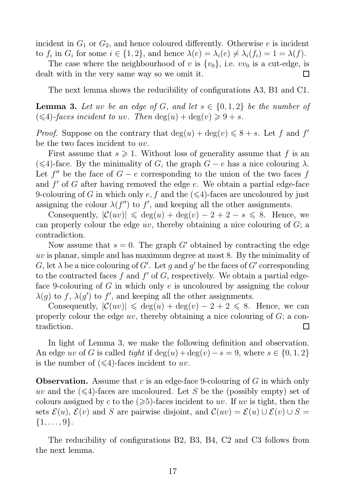incident in  $G_1$  or  $G_2$ , and hence coloured differently. Otherwise e is incident to  $f_i$  in  $G_i$  for some  $i \in \{1,2\}$ , and hence  $\lambda(e) = \lambda_i(e) \neq \lambda_i(f_i) = 1 = \lambda(f)$ .

The case where the neighbourhood of v is  $\{v_0\}$ , i.e.  $vv_0$  is a cut-edge, is dealt with in the very same way so we omit it.

The next lemma shows the reducibility of configurations A3, B1 and C1.

**Lemma 3.** Let uv be an edge of G, and let  $s \in \{0, 1, 2\}$  be the number of  $(\leq 4)$ -faces incident to uv. Then  $deg(u) + deg(v) \geq 9 + s$ .

*Proof.* Suppose on the contrary that  $deg(u) + deg(v) \leq 8 + s$ . Let f and f' be the two faces incident to uv.

First assume that  $s \geq 1$ . Without loss of generality assume that f is an ( $\leq$ 4)-face. By the minimality of G, the graph  $G - e$  has a nice colouring  $\lambda$ . Let  $f''$  be the face of  $G - e$  corresponding to the union of the two faces f and  $f'$  of  $G$  after having removed the edge  $e$ . We obtain a partial edge-face 9-colouring of G in which only e, f and the  $(\leq 4)$ -faces are uncoloured by just assigning the colour  $\lambda(f'')$  to f', and keeping all the other assignments.

Consequently,  $|\mathcal{C}(uv)| \leq \deg(u) + \deg(v) - 2 + 2 - s \leq 8$ . Hence, we can properly colour the edge  $uv$ , thereby obtaining a nice colouring of  $G$ ; a contradiction.

Now assume that  $s = 0$ . The graph G' obtained by contracting the edge uv is planar, simple and has maximum degree at most 8. By the minimality of G, let  $\lambda$  be a nice colouring of G'. Let g and g' be the faces of G' corresponding to the contracted faces  $f$  and  $f'$  of  $G$ , respectively. We obtain a partial edgeface 9-colouring of G in which only  $e$  is uncoloured by assigning the colour  $\lambda(g)$  to f,  $\lambda(g')$  to f', and keeping all the other assignments.

Consequently,  $|\mathcal{C}(uv)| \leq \deg(u) + \deg(v) - 2 + 2 \leq 8$ . Hence, we can properly colour the edge  $uv$ , thereby obtaining a nice colouring of  $G$ ; a contradiction.  $\Box$ 

In light of Lemma 3, we make the following definition and observation. An edge uv of G is called tight if  $\deg(u) + \deg(v) - s = 9$ , where  $s \in \{0, 1, 2\}$ is the number of  $(\leq 4)$ -faces incident to w.

**Observation.** Assume that c is an edge-face 9-colouring of G in which only uv and the  $(\leq 4)$ -faces are uncoloured. Let S be the (possibly empty) set of colours assigned by c to the  $(\geqslant 5)$ -faces incident to uv. If uv is tight, then the sets  $\mathcal{E}(u)$ ,  $\mathcal{E}(v)$  and S are pairwise disjoint, and  $\mathcal{C}(uv) = \mathcal{E}(u) \cup \mathcal{E}(v) \cup S =$  $\{1, \ldots, 9\}.$ 

The reducibility of configurations B2, B3, B4, C2 and C3 follows from the next lemma.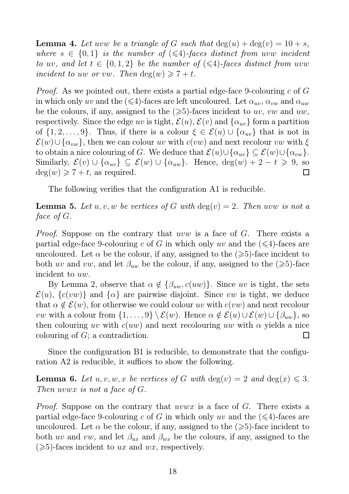**Lemma 4.** Let uvw be a triangle of G such that  $\deg(u) + \deg(v) = 10 + s$ , where  $s \in \{0,1\}$  is the number of  $(\leq 4)$ -faces distinct from uvw incident to uv, and let  $t \in \{0, 1, 2\}$  be the number of  $(\leq 4)$ -faces distinct from uvw incident to uw or vw. Then  $\deg(w) \geq 7 + t$ .

*Proof.* As we pointed out, there exists a partial edge-face 9-colouring c of G in which only uv and the ( $\leq 4$ )-faces are left uncoloured. Let  $\alpha_{uv}, \alpha_{vw}$  and  $\alpha_{uw}$ be the colours, if any, assigned to the  $(\geq 5)$ -faces incident to uv, vw and uw, respectively. Since the edge uv is tight,  $\mathcal{E}(u)$ ,  $\mathcal{E}(v)$  and  $\{\alpha_{uv}\}\$ form a partition of  $\{1, 2, \ldots, 9\}$ . Thus, if there is a colour  $\xi \in \mathcal{E}(u) \cup \{\alpha_{uv}\}\$  that is not in  $\mathcal{E}(w) \cup \{\alpha_{vw}\}\$ , then we can colour uv with  $c(vw)$  and next recolour vw with  $\xi$ to obtain a nice colouring of G. We deduce that  $\mathcal{E}(u) \cup \{\alpha_{uv}\} \subseteq \mathcal{E}(w) \cup \{\alpha_{vw}\}.$ Similarly,  $\mathcal{E}(v) \cup \{\alpha_{uv}\}\subseteq \mathcal{E}(w) \cup \{\alpha_{uw}\}.$  Hence,  $\deg(w) + 2 - t \geq 9$ , so  $deg(w) \geqslant 7 + t$ , as required.  $\Box$ 

The following verifies that the configuration A1 is reducible.

**Lemma 5.** Let  $u, v, w$  be vertices of G with  $deg(v) = 2$ . Then uvw is not a face of G.

*Proof.* Suppose on the contrary that uvw is a face of G. There exists a partial edge-face 9-colouring c of G in which only uv and the  $(\leq 4)$ -faces are uncoloured. Let  $\alpha$  be the colour, if any, assigned to the  $(\geq 5)$ -face incident to both uv and vw, and let  $\beta_{uw}$  be the colour, if any, assigned to the ( $\geq 5$ )-face incident to uw.

By Lemma 2, observe that  $\alpha \notin {\beta_{uw}, c(uw)}$ . Since uv is tight, the sets  $\mathcal{E}(u)$ ,  $\{c(vw)\}\$ and  $\{\alpha\}$  are pairwise disjoint. Since vw is tight, we deduce that  $\alpha \notin \mathcal{E}(w)$ , for otherwise we could colour uv with  $c(vw)$  and next recolour *vw* with a colour from  $\{1, \ldots, 9\} \setminus \mathcal{E}(w)$ . Hence  $\alpha \notin \mathcal{E}(u) \cup \mathcal{E}(w) \cup \{\beta_{uw}\},$  so then colouring uv with  $c(uw)$  and next recolouring uw with  $\alpha$  yields a nice colouring of G; a contradiction. ▏

Since the configuration B1 is reducible, to demonstrate that the configuration A2 is reducible, it suffices to show the following.

**Lemma 6.** Let  $u, v, w, x$  be vertices of G with  $deg(v) = 2$  and  $deg(x) \leq 3$ . Then uvwx is not a face of G.

*Proof.* Suppose on the contrary that *uvwx* is a face of G. There exists a partial edge-face 9-colouring c of G in which only uv and the  $(\leq 4)$ -faces are uncoloured. Let  $\alpha$  be the colour, if any, assigned to the  $(\geq 5)$ -face incident to both uv and vw, and let  $\beta_{ux}$  and  $\beta_{wx}$  be the colours, if any, assigned to the  $(\geq 5)$ -faces incident to ux and wx, respectively.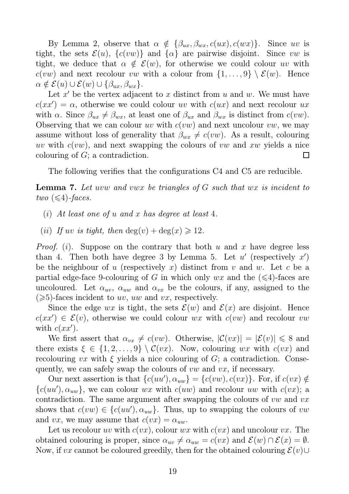By Lemma 2, observe that  $\alpha \notin {\beta_{ux}, \beta_{wx}, c(ux), c(wx)}$ . Since uv is tight, the sets  $\mathcal{E}(u)$ ,  $\{c(vw)\}\$ and  $\{\alpha\}$  are pairwise disjoint. Since vw is tight, we deduce that  $\alpha \notin \mathcal{E}(w)$ , for otherwise we could colour uv with  $c(vw)$  and next recolour vw with a colour from  $\{1,\ldots,9\} \setminus \mathcal{E}(w)$ . Hence  $\alpha \notin \mathcal{E}(u) \cup \mathcal{E}(w) \cup \{\beta_{ux}, \beta_{wx}\}.$ 

Let  $x'$  be the vertex adjacent to  $x$  distinct from  $u$  and  $w$ . We must have  $c(xx') = \alpha$ , otherwise we could colour uv with  $c(ux)$  and next recolour ux with  $\alpha$ . Since  $\beta_{ux} \neq \beta_{wx}$ , at least one of  $\beta_{ux}$  and  $\beta_{wx}$  is distinct from  $c(vw)$ . Observing that we can colour uv with  $c(vw)$  and next uncolour vw, we may assume without loss of generality that  $\beta_{wx} \neq c(vw)$ . As a result, colouring where  $uv$ , and next swapping the colours of vw and xw yields a nice colouring of G; a contradiction.  $\Box$ 

The following verifies that the configurations C4 and C5 are reducible.

Lemma 7. Let uvw and vwx be triangles of G such that wx is incident to two  $(\leq 4)$ -faces.

- (i) At least one of u and x has degree at least 4.
- (*ii*) If uv is tight, then  $deg(v) + deg(x) \ge 12$ .

*Proof.* (*i*). Suppose on the contrary that both u and x have degree less than 4. Then both have degree 3 by Lemma 5. Let  $u'$  (respectively  $x'$ ) be the neighbour of u (respectively x) distinct from v and w. Let c be a partial edge-face 9-colouring of G in which only  $wx$  and the  $(\leq 4)$ -faces are uncoloured. Let  $\alpha_{uv}$ ,  $\alpha_{uw}$  and  $\alpha_{vx}$  be the colours, if any, assigned to the  $(\geq 5)$ -faces incident to uv, uw and vx, respectively.

Since the edge wx is tight, the sets  $\mathcal{E}(w)$  and  $\mathcal{E}(x)$  are disjoint. Hence  $c(xx') \in \mathcal{E}(v)$ , otherwise we could colour wx with  $c(vw)$  and recolour vw with  $c(xx')$ .

We first assert that  $\alpha_{vx} \neq c(vw)$ . Otherwise,  $|\mathcal{C}(vx)| = |\mathcal{E}(v)| \leq 8$  and there exists  $\xi \in \{1, 2, ..., 9\} \setminus C(vx)$ . Now, colouring wx with  $c(vx)$  and recolouring vx with  $\xi$  yields a nice colouring of G; a contradiction. Consequently, we can safely swap the colours of  $vw$  and  $vx$ , if necessary.

Our next assertion is that  $\{c(uu'), \alpha_{uw}\} = \{c(vw), c(vx)\}\.$  For, if  $c(vx) \notin$  ${c(uu'), \alpha_{uw}}$ , we can colour wx with  $c(uw)$  and recolour uw with  $c(vx)$ ; a contradiction. The same argument after swapping the colours of  $vw$  and  $vx$ shows that  $c(vw) \in \{c(uu'), \alpha_{uw}\}.$  Thus, up to swapping the colours of  $vw$ and vx, we may assume that  $c(vx) = \alpha_{uw}$ .

Let us recolour uv with  $c(vx)$ , colour wx with  $c(vx)$  and uncolour vx. The obtained colouring is proper, since  $\alpha_{uv} \neq \alpha_{uw} = c(vx)$  and  $\mathcal{E}(w) \cap \mathcal{E}(x) = \emptyset$ . Now, if vx cannot be coloured greedily, then for the obtained colouring  $\mathcal{E}(v) \cup$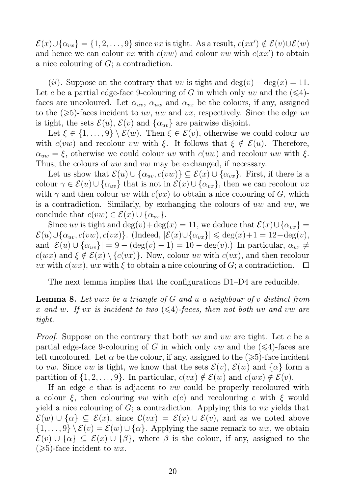$\mathcal{E}(x) \cup \{\alpha_{vx}\} = \{1, 2, \ldots, 9\}$  since vx is tight. As a result,  $c(xx') \notin \mathcal{E}(v) \cup \mathcal{E}(w)$ and hence we can colour vx with  $c(vw)$  and colour vw with  $c(xx')$  to obtain a nice colouring of G; a contradiction.

(*ii*). Suppose on the contrary that uv is tight and  $deg(v) + deg(x) = 11$ . Let c be a partial edge-face 9-colouring of G in which only uv and the  $(\leq 4)$ faces are uncoloured. Let  $\alpha_{uv}$ ,  $\alpha_{uw}$  and  $\alpha_{vx}$  be the colours, if any, assigned to the  $(\geqslant 5)$ -faces incident to uv, uw and vx, respectively. Since the edge uv is tight, the sets  $\mathcal{E}(u)$ ,  $\mathcal{E}(v)$  and  $\{\alpha_{uv}\}\$ are pairwise disjoint.

Let  $\xi \in \{1, \ldots, 9\} \setminus \mathcal{E}(w)$ . Then  $\xi \in \mathcal{E}(v)$ , otherwise we could colour uv with  $c(vw)$  and recolour vw with  $\xi$ . It follows that  $\xi \notin \mathcal{E}(u)$ . Therefore,  $\alpha_{uw} = \xi$ , otherwise we could colour uv with  $c(uw)$  and recolour uw with  $\xi$ . Thus, the colours of uw and vw may be exchanged, if necessary.

Let us show that  $\mathcal{E}(u) \cup \{\alpha_{uv}, c(vw)\} \subseteq \mathcal{E}(x) \cup \{\alpha_{vx}\}.$  First, if there is a colour  $\gamma \in \mathcal{E}(u) \cup \{\alpha_{uv}\}\$  that is not in  $\mathcal{E}(x) \cup \{\alpha_{vx}\}\$ , then we can recolour vx with  $\gamma$  and then colour uv with  $c(vx)$  to obtain a nice colouring of G, which is a contradiction. Similarly, by exchanging the colours of uw and vw, we conclude that  $c(vw) \in \mathcal{E}(x) \cup \{\alpha_{vx}\}.$ 

Since uv is tight and deg(v)+deg(x) = 11, we deduce that  $\mathcal{E}(x) \cup \{\alpha_{vx}\}$  =  $\mathcal{E}(u) \cup \{\alpha_{uv}, c(vw), c(vx)\}.$  (Indeed,  $|\mathcal{E}(x) \cup \{\alpha_{vx}\}| \leq \deg(x) + 1 = 12 - \deg(v),$ and  $|\mathcal{E}(u) \cup \{\alpha_{uv}\}| = 9 - (\deg(v) - 1) = 10 - \deg(v)$ . In particular,  $\alpha_{vx} \neq$  $c(wx)$  and  $\xi \notin \mathcal{E}(x) \setminus \{c(vx)\}\)$ . Now, colour uv with  $c(vx)$ , and then recolour vx with  $c(wx)$ , wx with  $\xi$  to obtain a nice colouring of G; a contradiction.  $\Box$ 

The next lemma implies that the configurations D1–D4 are reducible.

**Lemma 8.** Let vwx be a triangle of G and u a neighbour of v distinct from x and w. If vx is incident to two  $(\leq 4)$ -faces, then not both uv and vw are tight.

Proof. Suppose on the contrary that both uv and vw are tight. Let c be a partial edge-face 9-colouring of G in which only vw and the  $(\leq 4)$ -faces are left uncoloured. Let  $\alpha$  be the colour, if any, assigned to the  $(\geq 5)$ -face incident to vw. Since vw is tight, we know that the sets  $\mathcal{E}(v)$ ,  $\mathcal{E}(w)$  and  $\{\alpha\}$  form a partition of  $\{1, 2, \ldots, 9\}$ . In particular,  $c(vx) \notin \mathcal{E}(w)$  and  $c(wx) \notin \mathcal{E}(v)$ .

If an edge e that is adjacent to vw could be properly recoloured with a colour  $\xi$ , then colouring vw with  $c(e)$  and recolouring e with  $\xi$  would yield a nice colouring of  $G$ ; a contradiction. Applying this to vx yields that  $\mathcal{E}(w) \cup \{\alpha\} \subseteq \mathcal{E}(x)$ , since  $\mathcal{C}(vx) = \mathcal{E}(x) \cup \mathcal{E}(v)$ , and as we noted above  $\{1,\ldots,9\} \setminus \mathcal{E}(v) = \mathcal{E}(w) \cup \{\alpha\}.$  Applying the same remark to wx, we obtain  $\mathcal{E}(v) \cup \{\alpha\} \subseteq \mathcal{E}(x) \cup \{\beta\},\$  where  $\beta$  is the colour, if any, assigned to the  $(\geqslant 5)$ -face incident to wx.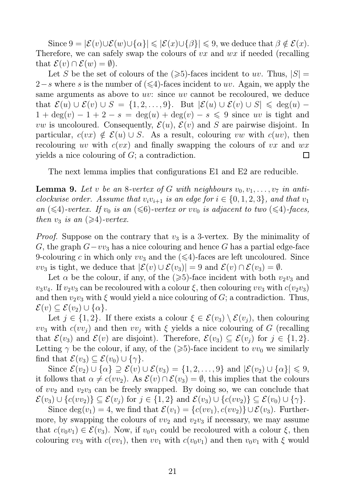Since  $9 = |\mathcal{E}(v) \cup \mathcal{E}(w) \cup \{\alpha\}| \leqslant |\mathcal{E}(x) \cup \{\beta\}| \leqslant 9$ , we deduce that  $\beta \notin \mathcal{E}(x)$ . Therefore, we can safely swap the colours of  $vx$  and  $wx$  if needed (recalling that  $\mathcal{E}(v) \cap \mathcal{E}(w) = \emptyset$ .

Let S be the set of colours of the  $(\geqslant 5)$ -faces incident to uv. Thus,  $|S|$  = 2−s where s is the number of  $(\leq 4)$ -faces incident to uv. Again, we apply the same arguments as above to uv: since uv cannot be recoloured, we deduce that  $\mathcal{E}(u) \cup \mathcal{E}(v) \cup S = \{1, 2, ..., 9\}$ . But  $|\mathcal{E}(u) \cup \mathcal{E}(v) \cup S| \leq \deg(u)$  $1 + \deg(v) - 1 + 2 - s = \deg(u) + \deg(v) - s \leq 9$  since uv is tight and *vw* is uncoloured. Consequently,  $\mathcal{E}(u)$ ,  $\mathcal{E}(v)$  and S are pairwise disjoint. In particular,  $c(vx) \notin \mathcal{E}(u) \cup S$ . As a result, colouring vw with  $c(uv)$ , then recolouring uv with  $c(vx)$  and finally swapping the colours of vx and  $wx$ yields a nice colouring of G; a contradiction.  $\Box$ 

The next lemma implies that configurations E1 and E2 are reducible.

**Lemma 9.** Let v be an 8-vertex of G with neighbours  $v_0, v_1, \ldots, v_7$  in anticlockwise order. Assume that  $v_i v_{i+1}$  is an edge for  $i \in \{0, 1, 2, 3\}$ , and that  $v_1$ an  $(\leq 4)$ -vertex. If  $v_0$  is an  $(\leq 6)$ -vertex or  $vv_0$  is adjacent to two  $(\leq 4)$ -faces, then  $v_3$  is an  $(\geq 4)$ -vertex.

*Proof.* Suppose on the contrary that  $v_3$  is a 3-vertex. By the minimality of G, the graph  $G-vv_3$  has a nice colouring and hence G has a partial edge-face 9-colouring c in which only  $vv_3$  and the  $(\leq 4)$ -faces are left uncoloured. Since vv<sub>3</sub> is tight, we deduce that  $|\mathcal{E}(v) \cup \mathcal{E}(v_3)| = 9$  and  $\mathcal{E}(v) \cap \mathcal{E}(v_3) = \emptyset$ .

Let  $\alpha$  be the colour, if any, of the  $(\geqslant 5)$ -face incident with both  $v_2v_3$  and  $v_3v_4$ . If  $v_2v_3$  can be recoloured with a colour  $\xi$ , then colouring  $vv_3$  with  $c(v_2v_3)$ and then  $v_2v_3$  with  $\xi$  would yield a nice colouring of G; a contradiction. Thus,  $\mathcal{E}(v) \subseteq \mathcal{E}(v_2) \cup \{\alpha\}.$ 

Let  $j \in \{1,2\}$ . If there exists a colour  $\xi \in \mathcal{E}(v_3) \setminus \mathcal{E}(v_j)$ , then colouring  $vv_3$  with  $c(vv_j)$  and then  $vv_j$  with  $\xi$  yields a nice colouring of G (recalling that  $\mathcal{E}(v_3)$  and  $\mathcal{E}(v)$  are disjoint). Therefore,  $\mathcal{E}(v_3) \subseteq \mathcal{E}(v_j)$  for  $j \in \{1,2\}$ . Letting  $\gamma$  be the colour, if any, of the ( $\geqslant$ 5)-face incident to vv<sub>0</sub> we similarly find that  $\mathcal{E}(v_3) \subseteq \mathcal{E}(v_0) \cup \{\gamma\}.$ 

Since  $\mathcal{E}(v_2) \cup \{\alpha\} \supseteq \mathcal{E}(v) \cup \mathcal{E}(v_3) = \{1, 2, \ldots, 9\}$  and  $|\mathcal{E}(v_2) \cup \{\alpha\}| \leq 9$ , it follows that  $\alpha \neq c(vv_2)$ . As  $\mathcal{E}(v) \cap \mathcal{E}(v_3) = \emptyset$ , this implies that the colours of  $vv_2$  and  $v_2v_3$  can be freely swapped. By doing so, we can conclude that  $\mathcal{E}(v_3) \cup \{c(vv_2)\} \subseteq \mathcal{E}(v_j)$  for  $j \in \{1,2\}$  and  $\mathcal{E}(v_3) \cup \{c(vv_2)\} \subseteq \mathcal{E}(v_0) \cup \{\gamma\}.$ 

Since  $\deg(v_1) = 4$ , we find that  $\mathcal{E}(v_1) = \{c(v_1), c(v_2)\} \cup \mathcal{E}(v_3)$ . Furthermore, by swapping the colours of  $vv_2$  and  $v_2v_3$  if necessary, we may assume that  $c(v_0v_1) \in \mathcal{E}(v_3)$ . Now, if  $v_0v_1$  could be recoloured with a colour  $\xi$ , then colouring  $vv_3$  with  $c(v_1)$ , then  $vv_1$  with  $c(v_0v_1)$  and then  $v_0v_1$  with  $\xi$  would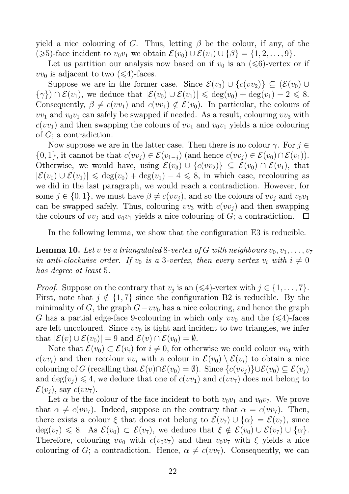yield a nice colouring of G. Thus, letting  $\beta$  be the colour, if any, of the  $(\geq 5)$ -face incident to  $v_0v_1$  we obtain  $\mathcal{E}(v_0) \cup \mathcal{E}(v_1) \cup \{\beta\} = \{1, 2, \ldots, 9\}.$ 

Let us partition our analysis now based on if  $v_0$  is an  $(\leq 6)$ -vertex or if  $vv_0$  is adjacent to two  $(\leq 4)$ -faces.

Suppose we are in the former case. Since  $\mathcal{E}(v_3) \cup \{c(v_2)\} \subseteq (\mathcal{E}(v_0) \cup$  $\{\gamma\}) \cap \mathcal{E}(v_1)$ , we deduce that  $|\mathcal{E}(v_0) \cup \mathcal{E}(v_1)| \leq \deg(v_0) + \deg(v_1) - 2 \leq 8$ . Consequently,  $\beta \neq c(vv_1)$  and  $c(vv_1) \notin \mathcal{E}(v_0)$ . In particular, the colours of  $vv_1$  and  $v_0v_1$  can safely be swapped if needed. As a result, colouring  $vv_3$  with  $c(vv_1)$  and then swapping the colours of  $vv_1$  and  $v_0v_1$  yields a nice colouring of G; a contradiction.

Now suppose we are in the latter case. Then there is no colour  $\gamma$ . For  $j \in \mathbb{Z}$  $\{0,1\}$ , it cannot be that  $c(vv_i) \in \mathcal{E}(v_{1-i})$  (and hence  $c(vv_i) \in \mathcal{E}(v_0) \cap \mathcal{E}(v_1)$ ). Otherwise, we would have, using  $\mathcal{E}(v_3) \cup \{c(v_2)\} \subseteq \mathcal{E}(v_0) \cap \mathcal{E}(v_1)$ , that  $|\mathcal{E}(v_0) \cup \mathcal{E}(v_1)| \leq \deg(v_0) + \deg(v_1) - 4 \leq 8$ , in which case, recolouring as we did in the last paragraph, we would reach a contradiction. However, for some  $j \in \{0, 1\}$ , we must have  $\beta \neq c(vv_i)$ , and so the colours of  $vv_i$  and  $v_0v_1$ can be swapped safely. Thus, colouring  $vv_3$  with  $c(vv_j)$  and then swapping the colours of  $vv_i$  and  $v_0v_1$  yields a nice colouring of G; a contradiction. ▕▁▁▏

In the following lemma, we show that the configuration E3 is reducible.

**Lemma 10.** Let v be a triangulated 8-vertex of G with neighbours  $v_0, v_1, \ldots, v_7$ in anti-clockwise order. If  $v_0$  is a 3-vertex, then every vertex  $v_i$  with  $i \neq 0$ has degree at least 5.

*Proof.* Suppose on the contrary that  $v_j$  is an  $(\leq 4)$ -vertex with  $j \in \{1, \ldots, 7\}$ . First, note that  $j \notin \{1, 7\}$  since the configuration B2 is reducible. By the minimality of G, the graph  $G-vv_0$  has a nice colouring, and hence the graph G has a partial edge-face 9-colouring in which only  $vv_0$  and the  $(\leq 4)$ -faces are left uncoloured. Since  $vv_0$  is tight and incident to two triangles, we infer that  $|\mathcal{E}(v) \cup \mathcal{E}(v_0)| = 9$  and  $\mathcal{E}(v) \cap \mathcal{E}(v_0) = \emptyset$ .

Note that  $\mathcal{E}(v_0) \subset \mathcal{E}(v_i)$  for  $i \neq 0$ , for otherwise we could colour  $vv_0$  with  $c(vv_i)$  and then recolour  $vv_i$  with a colour in  $\mathcal{E}(v_0) \setminus \mathcal{E}(v_i)$  to obtain a nice colouring of G (recalling that  $\mathcal{E}(v) \cap \mathcal{E}(v_0) = \emptyset$ ). Since  $\{c(vv_i)\} \cup \mathcal{E}(v_0) \subseteq \mathcal{E}(v_i)$ and  $deg(v_i) \leq 4$ , we deduce that one of  $c(vv_1)$  and  $c(vv_7)$  does not belong to  $\mathcal{E}(v_i)$ , say  $c(vv_7)$ .

Let  $\alpha$  be the colour of the face incident to both  $v_0v_1$  and  $v_0v_7$ . We prove that  $\alpha \neq c(vv_7)$ . Indeed, suppose on the contrary that  $\alpha = c(vv_7)$ . Then, there exists a colour  $\xi$  that does not belong to  $\mathcal{E}(v_7) \cup \{\alpha\} = \mathcal{E}(v_7)$ , since  $deg(v_7) \leq 8$ . As  $\mathcal{E}(v_0) \subset \mathcal{E}(v_7)$ , we deduce that  $\xi \notin \mathcal{E}(v_0) \cup \mathcal{E}(v_7) \cup \{\alpha\}.$ Therefore, colouring  $vv_0$  with  $c(v_0v_7)$  and then  $v_0v_7$  with  $\xi$  yields a nice colouring of G; a contradiction. Hence,  $\alpha \neq c(vv_7)$ . Consequently, we can